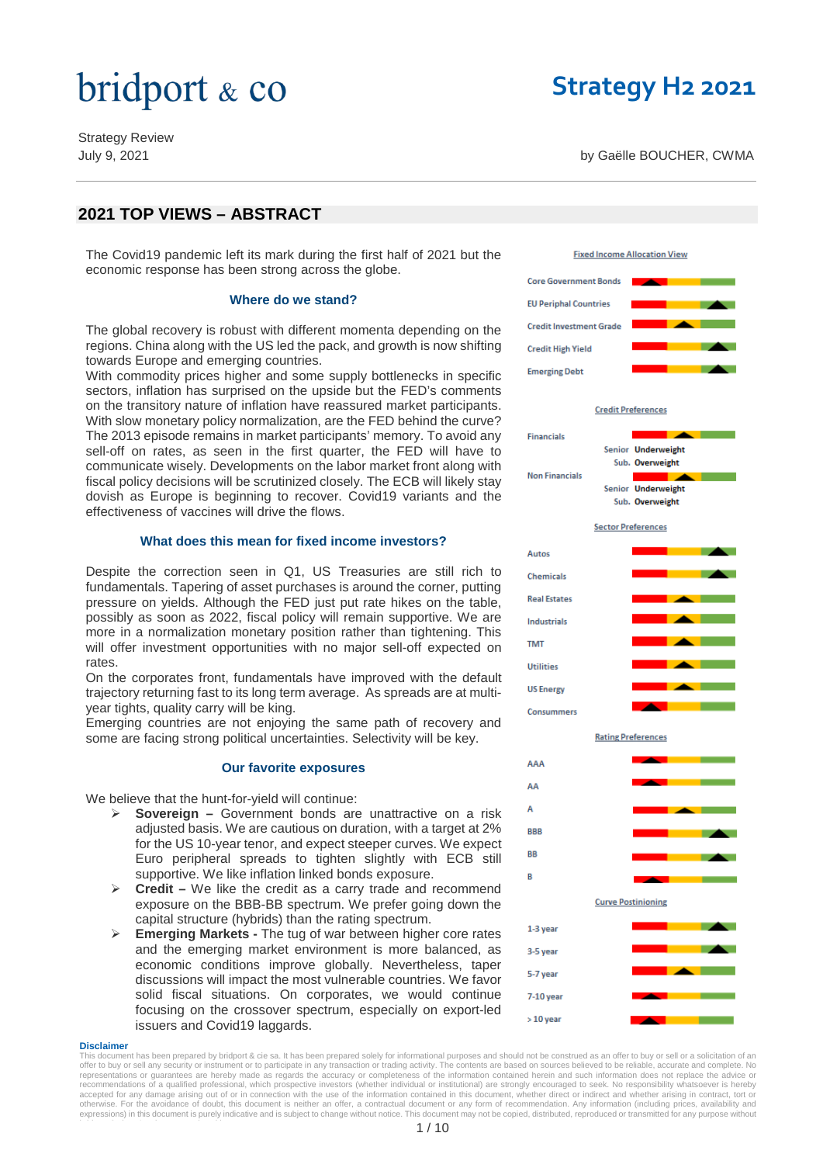Strategy Review

### **Strategy H2 2021**

July 9, 2021 by Gaëlle BOUCHER, CWMA

### **2021 TOP VIEWS – ABSTRACT**

The Covid19 pandemic left its mark during the first half of 2021 but the economic response has been strong across the globe.

#### **Where do we stand?**

The global recovery is robust with different momenta depending on the regions. China along with the US led the pack, and growth is now shifting towards Europe and emerging countries.

With commodity prices higher and some supply bottlenecks in specific sectors, inflation has surprised on the upside but the FED's comments on the transitory nature of inflation have reassured market participants. With slow monetary policy normalization, are the FED behind the curve? The 2013 episode remains in market participants' memory. To avoid any sell-off on rates, as seen in the first quarter, the FED will have to communicate wisely. Developments on the labor market front along with fiscal policy decisions will be scrutinized closely. The ECB will likely stay dovish as Europe is beginning to recover. Covid19 variants and the effectiveness of vaccines will drive the flows.

#### **What does this mean for fixed income investors?**

Despite the correction seen in Q1, US Treasuries are still rich to fundamentals. Tapering of asset purchases is around the corner, putting pressure on yields. Although the FED just put rate hikes on the table, possibly as soon as 2022, fiscal policy will remain supportive. We are more in a normalization monetary position rather than tightening. This will offer investment opportunities with no major sell-off expected on rates.

On the corporates front, fundamentals have improved with the default trajectory returning fast to its long term average. As spreads are at multiyear tights, quality carry will be king.

Emerging countries are not enjoying the same path of recovery and some are facing strong political uncertainties. Selectivity will be key.

#### **Our favorite exposures**

We believe that the hunt-for-yield will continue:

- **Sovereign –** Government bonds are unattractive on a risk adjusted basis. We are cautious on duration, with a target at 2% for the US 10-year tenor, and expect steeper curves. We expect Euro peripheral spreads to tighten slightly with ECB still supportive. We like inflation linked bonds exposure.
- **Credit –** We like the credit as a carry trade and recommend exposure on the BBB-BB spectrum. We prefer going down the capital structure (hybrids) than the rating spectrum.
- **Emerging Markets -** The tug of war between higher core rates and the emerging market environment is more balanced, as economic conditions improve globally. Nevertheless, taper discussions will impact the most vulnerable countries. We favor solid fiscal situations. On corporates, we would continue focusing on the crossover spectrum, especially on export-led issuers and Covid19 laggards.

#### **Disclaimer**

This document has been prepared by bridport & cie sa. It has been prepared solely for informational purposes and should not be construed as an offer to buy or sell or a solicitation of an offer to buy or sell any security or instrument or to participate in any transaction or trading activity. The contents are based on sources believed to be reliable, accurate and complete. No<br>representations or guarantees a recommendations of a qualified professional, which prospective investors (whether individual or institutional) are strongly encouraged to seek. No responsibility whatsoever is hereby<br>accepted for any damage arising out of expressions) in this document is purely indicative and is subject to change without notice. This document may not be copied, distributed, reproduced or transmitted for any purpose without b id t & i ' i t i iti

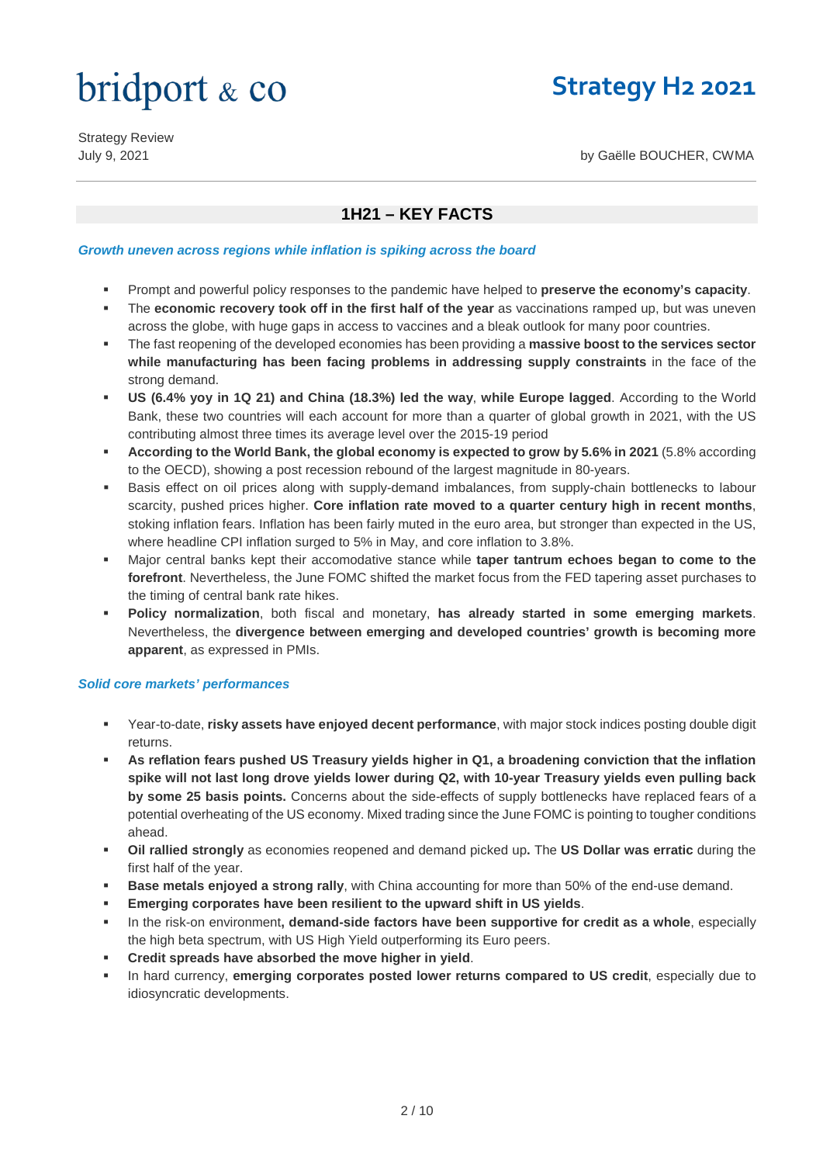### **Strategy H2 2021**

Strategy Review

July 9, 2021 by Gaëlle BOUCHER, CWMA

### **1H21 – KEY FACTS**

*Growth uneven across regions while inflation is spiking across the board*

- Prompt and powerful policy responses to the pandemic have helped to **preserve the economy's capacity**.
- The **economic recovery took off in the first half of the year** as vaccinations ramped up, but was uneven across the globe, with huge gaps in access to vaccines and a bleak outlook for many poor countries.
- The fast reopening of the developed economies has been providing a **massive boost to the services sector while manufacturing has been facing problems in addressing supply constraints** in the face of the strong demand.
- **US (6.4% yoy in 1Q 21) and China (18.3%) led the way**, **while Europe lagged**. According to the World Bank, these two countries will each account for more than a quarter of global growth in 2021, with the US contributing almost three times its average level over the 2015-19 period
- **According to the World Bank, the global economy is expected to grow by 5.6% in 2021** (5.8% according to the OECD), showing a post recession rebound of the largest magnitude in 80-years.
- Basis effect on oil prices along with supply-demand imbalances, from supply-chain bottlenecks to labour scarcity, pushed prices higher. **Core inflation rate moved to a quarter century high in recent months**, stoking inflation fears. Inflation has been fairly muted in the euro area, but stronger than expected in the US, where headline CPI inflation surged to 5% in May, and core inflation to 3.8%.
- Major central banks kept their accomodative stance while **taper tantrum echoes began to come to the forefront**. Nevertheless, the June FOMC shifted the market focus from the FED tapering asset purchases to the timing of central bank rate hikes.
- **Policy normalization**, both fiscal and monetary, **has already started in some emerging markets**. Nevertheless, the **divergence between emerging and developed countries' growth is becoming more apparent**, as expressed in PMIs.

#### *Solid core markets' performances*

- Year-to-date, **risky assets have enjoyed decent performance**, with major stock indices posting double digit returns.
- **As reflation fears pushed US Treasury yields higher in Q1, a broadening conviction that the inflation spike will not last long drove yields lower during Q2, with 10-year Treasury yields even pulling back by some 25 basis points.** Concerns about the side-effects of supply bottlenecks have replaced fears of a potential overheating of the US economy. Mixed trading since the June FOMC is pointing to tougher conditions ahead.
- **Oil rallied strongly** as economies reopened and demand picked up**.** The **US Dollar was erratic** during the first half of the year.
- **Base metals enjoyed a strong rally**, with China accounting for more than 50% of the end-use demand.
- **Emerging corporates have been resilient to the upward shift in US yields**.
- In the risk-on environment**, demand-side factors have been supportive for credit as a whole**, especially the high beta spectrum, with US High Yield outperforming its Euro peers.
- **Credit spreads have absorbed the move higher in yield**.
- In hard currency, **emerging corporates posted lower returns compared to US credit**, especially due to idiosyncratic developments.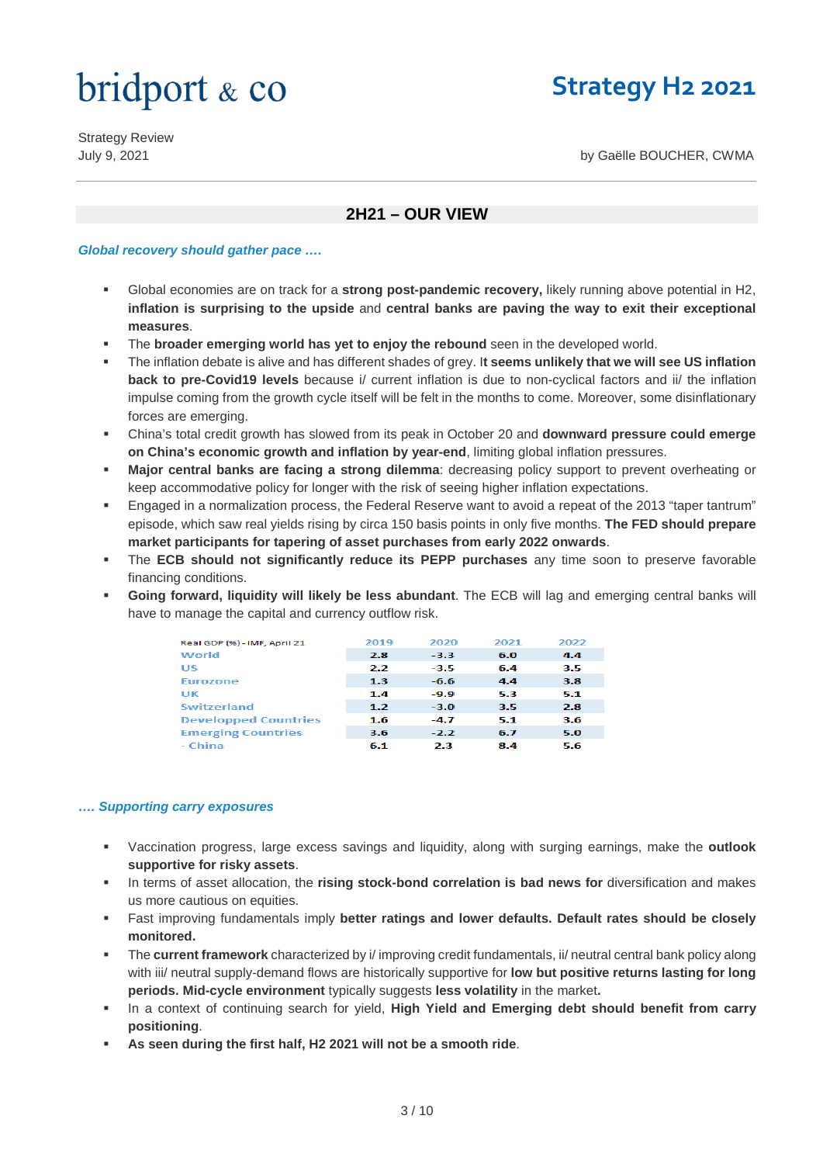### **Strategy H2 2021**

Strategy Review

July 9, 2021 by Gaëlle BOUCHER, CWMA

### **2H21 – OUR VIEW**

#### *Global recovery should gather pace ….*

- Global economies are on track for a **strong post-pandemic recovery,** likely running above potential in H2, **inflation is surprising to the upside** and **central banks are paving the way to exit their exceptional measures**.
- The **broader emerging world has yet to enjoy the rebound** seen in the developed world.
- The inflation debate is alive and has different shades of grey. I**t seems unlikely that we will see US inflation back to pre-Covid19 levels** because i/ current inflation is due to non-cyclical factors and ii/ the inflation impulse coming from the growth cycle itself will be felt in the months to come. Moreover, some disinflationary forces are emerging.
- China's total credit growth has slowed from its peak in October 20 and **downward pressure could emerge on China's economic growth and inflation by year-end**, limiting global inflation pressures.
- **Major central banks are facing a strong dilemma**: decreasing policy support to prevent overheating or keep accommodative policy for longer with the risk of seeing higher inflation expectations.
- Engaged in a normalization process, the Federal Reserve want to avoid a repeat of the 2013 "taper tantrum" episode, which saw real yields rising by circa 150 basis points in only five months. **The FED should prepare market participants for tapering of asset purchases from early 2022 onwards**.
- The **ECB should not significantly reduce its PEPP purchases** any time soon to preserve favorable financing conditions.
- **Going forward, liquidity will likely be less abundant**. The ECB will lag and emerging central banks will have to manage the capital and currency outflow risk.

| Real GDP (%) - IMF, April 21 | 2019 | 2020   | 2021 | 2022 |
|------------------------------|------|--------|------|------|
| World                        | 2.8  | $-3.3$ | 6.0  | 4.4  |
| US                           | 2.2  | $-3.5$ | 6.4  | 3.5  |
| <b>Eurozone</b>              | 1.3  | $-6.6$ | 4.4  | 3.8  |
| UK                           | 1.4  | $-9.9$ | 5.3  | 5.1  |
| <b>Switzerland</b>           | 1.2  | $-3.0$ | 3.5  | 2.8  |
| <b>Developped Countries</b>  | 1.6  | $-4.7$ | 5.1  | 3.6  |
| <b>Emerging Countries</b>    | 3.6  | $-2.2$ | 6.7  | 5.0  |
| - China                      | 6.1  | 2.3    | 8.4  | 5.6  |

#### *…. Supporting carry exposures*

- Vaccination progress, large excess savings and liquidity, along with surging earnings, make the **outlook supportive for risky assets**.
- In terms of asset allocation, the **rising stock-bond correlation is bad news for** diversification and makes us more cautious on equities.
- Fast improving fundamentals imply **better ratings and lower defaults. Default rates should be closely monitored.**
- The **current framework** characterized by i/ improving credit fundamentals, ii/ neutral central bank policy along with iii/ neutral supply-demand flows are historically supportive for **low but positive returns lasting for long periods. Mid-cycle environment** typically suggests **less volatility** in the market**.**
- In a context of continuing search for yield, **High Yield and Emerging debt should benefit from carry positioning**.
- **As seen during the first half, H2 2021 will not be a smooth ride**.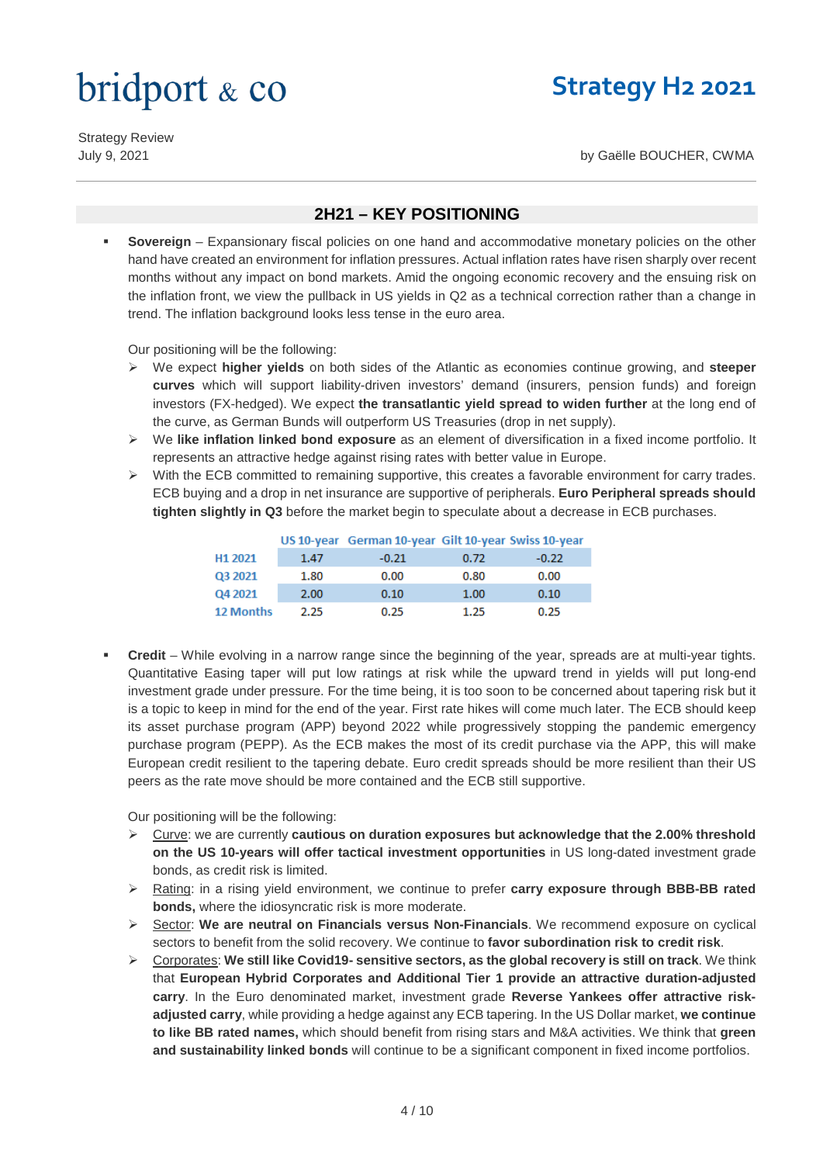### **Strategy H2 2021**

Strategy Review

July 9, 2021 by Gaëlle BOUCHER, CWMA

#### **2H21 – KEY POSITIONING**

**Sovereign** – Expansionary fiscal policies on one hand and accommodative monetary policies on the other hand have created an environment for inflation pressures. Actual inflation rates have risen sharply over recent months without any impact on bond markets. Amid the ongoing economic recovery and the ensuing risk on the inflation front, we view the pullback in US yields in Q2 as a technical correction rather than a change in trend. The inflation background looks less tense in the euro area.

Our positioning will be the following:

- We expect **higher yields** on both sides of the Atlantic as economies continue growing, and **steeper curves** which will support liability-driven investors' demand (insurers, pension funds) and foreign investors (FX-hedged). We expect **the transatlantic yield spread to widen further** at the long end of the curve, as German Bunds will outperform US Treasuries (drop in net supply).
- We **like inflation linked bond exposure** as an element of diversification in a fixed income portfolio. It represents an attractive hedge against rising rates with better value in Europe.
- $\triangleright$  With the ECB committed to remaining supportive, this creates a favorable environment for carry trades. ECB buying and a drop in net insurance are supportive of peripherals. **Euro Peripheral spreads should tighten slightly in Q3** before the market begin to speculate about a decrease in ECB purchases.

|                     |      | US 10-year German 10-year Gilt 10-year Swiss 10-year |      |         |
|---------------------|------|------------------------------------------------------|------|---------|
| H <sub>1</sub> 2021 | 1.47 | $-0.21$                                              | 0.72 | $-0.22$ |
| Q3 2021             | 1.80 | 0.00                                                 | 0.80 | 0.00    |
| Q4 2021             | 2.00 | 0.10                                                 | 1.00 | 0.10    |
| <b>12 Months</b>    | 2.25 | 0.25                                                 | 1.25 | 0.25    |

**Credit** – While evolving in a narrow range since the beginning of the year, spreads are at multi-year tights. Quantitative Easing taper will put low ratings at risk while the upward trend in yields will put long-end investment grade under pressure. For the time being, it is too soon to be concerned about tapering risk but it is a topic to keep in mind for the end of the year. First rate hikes will come much later. The ECB should keep its asset purchase program (APP) beyond 2022 while progressively stopping the pandemic emergency purchase program (PEPP). As the ECB makes the most of its credit purchase via the APP, this will make European credit resilient to the tapering debate. Euro credit spreads should be more resilient than their US peers as the rate move should be more contained and the ECB still supportive.

Our positioning will be the following:

- Curve: we are currently **cautious on duration exposures but acknowledge that the 2.00% threshold on the US 10-years will offer tactical investment opportunities** in US long-dated investment grade bonds, as credit risk is limited.
- Rating: in a rising yield environment, we continue to prefer **carry exposure through BBB-BB rated bonds,** where the idiosyncratic risk is more moderate.
- **►** Sector: We are neutral on Financials versus Non-Financials. We recommend exposure on cyclical sectors to benefit from the solid recovery. We continue to **favor subordination risk to credit risk**.
- Corporates: **We still like Covid19- sensitive sectors, as the global recovery is still on track**. We think that **European Hybrid Corporates and Additional Tier 1 provide an attractive duration-adjusted carry**. In the Euro denominated market, investment grade **Reverse Yankees offer attractive riskadjusted carry**, while providing a hedge against any ECB tapering. In the US Dollar market, **we continue to like BB rated names,** which should benefit from rising stars and M&A activities. We think that **green and sustainability linked bonds** will continue to be a significant component in fixed income portfolios.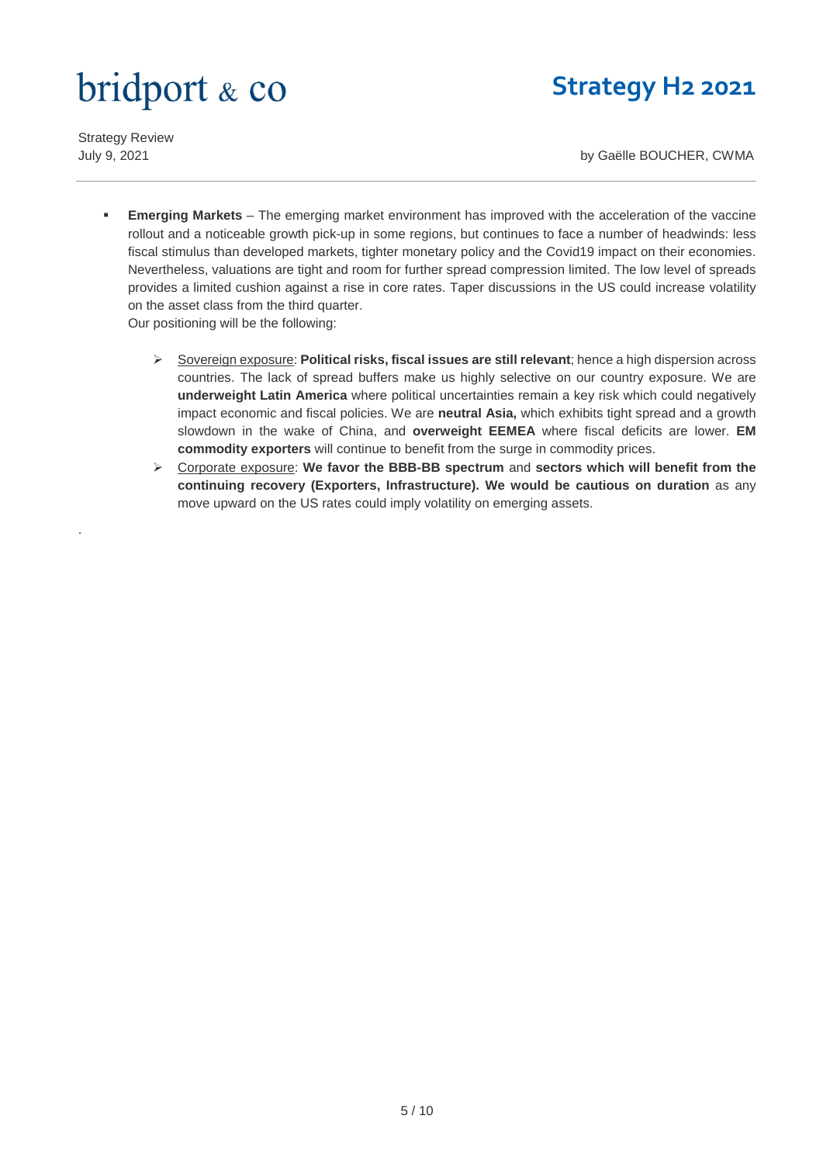## **Strategy H2 2021**

Strategy Review

.

July 9, 2021 by Gaëlle BOUCHER, CWMA

- **Emerging Markets** The emerging market environment has improved with the acceleration of the vaccine rollout and a noticeable growth pick-up in some regions, but continues to face a number of headwinds: less fiscal stimulus than developed markets, tighter monetary policy and the Covid19 impact on their economies. Nevertheless, valuations are tight and room for further spread compression limited. The low level of spreads provides a limited cushion against a rise in core rates. Taper discussions in the US could increase volatility on the asset class from the third quarter. Our positioning will be the following:
	- Sovereign exposure: **Political risks, fiscal issues are still relevant**; hence a high dispersion across countries. The lack of spread buffers make us highly selective on our country exposure. We are **underweight Latin America** where political uncertainties remain a key risk which could negatively impact economic and fiscal policies. We are **neutral Asia,** which exhibits tight spread and a growth slowdown in the wake of China, and **overweight EEMEA** where fiscal deficits are lower. **EM commodity exporters** will continue to benefit from the surge in commodity prices.
	- Corporate exposure: **We favor the BBB-BB spectrum** and **sectors which will benefit from the continuing recovery (Exporters, Infrastructure). We would be cautious on duration** as any move upward on the US rates could imply volatility on emerging assets.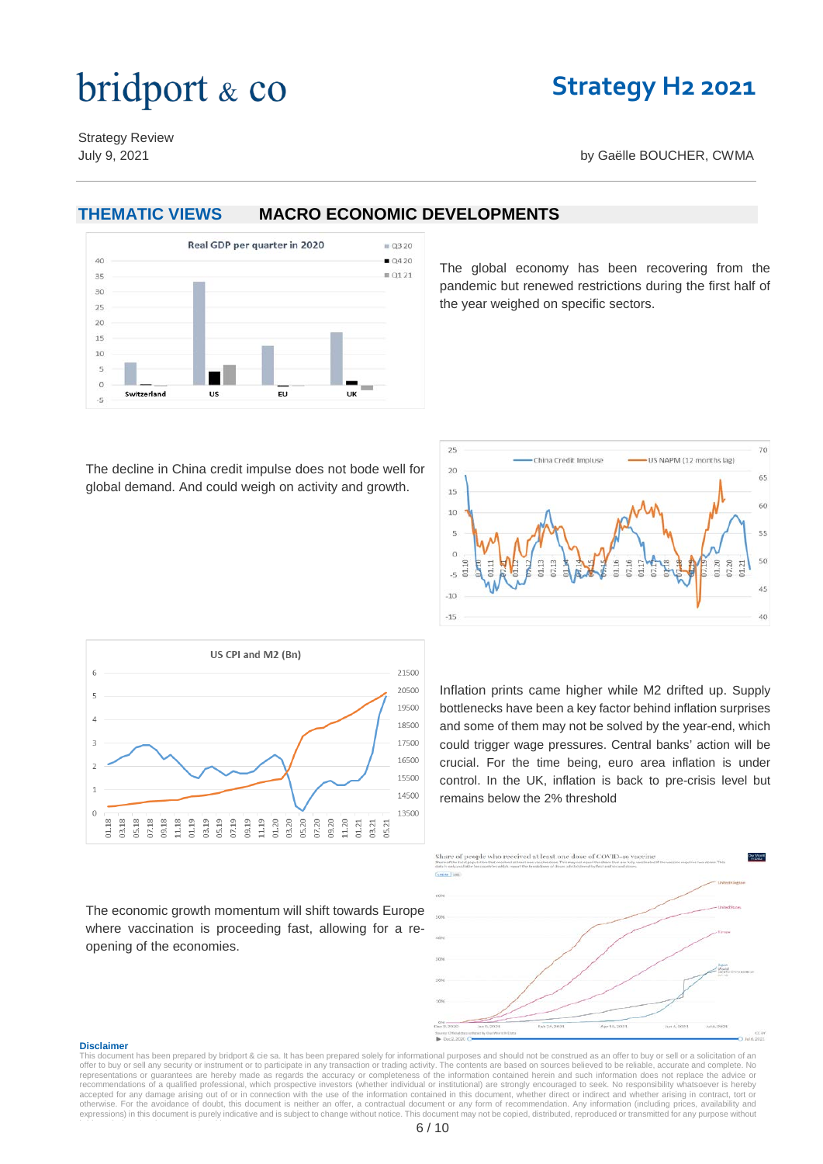### **Strategy H2 2021**

Strategy Review

July 9, 2021 by Gaëlle BOUCHER, CWMA

#### **THEMATIC VIEWS MACRO ECONOMIC DEVELOPMENTS**



The global economy has been recovering from the pandemic but renewed restrictions during the first half of the year weighed on specific sectors.

The decline in China credit impulse does not bode well for global demand. And could weigh on activity and growth.





The economic growth momentum will shift towards Europe where vaccination is proceeding fast, allowing for a reopening of the economies.

Inflation prints came higher while M2 drifted up. Supply bottlenecks have been a key factor behind inflation surprises and some of them may not be solved by the year-end, which could trigger wage pressures. Central banks' action will be crucial. For the time being, euro area inflation is under control. In the UK, inflation is back to pre-crisis level but remains below the 2% threshold



#### **Disclaimer**

This document has been prepared by bridport & cie sa. It has been prepared solely for informational purposes and should not be construed as an offer to buy or sell or a solicitation of an offer to buy or sell any security or instrument or to participate in any transaction or trading activity. The contents are based on sources believed to be reliable, accurate and complete. No<br>representations or guarantees a recommendations of a qualified professional, which prospective investors (whether individual or institutional) are strongly encouraged to seek. No responsibility whatsoever is hereby<br>accepted for any damage arising out of expressions) in this document is purely indicative and is subject to change without notice. This document may not be copied, distributed, reproduced or transmitted for any purpose without b id t & i ' i t i iti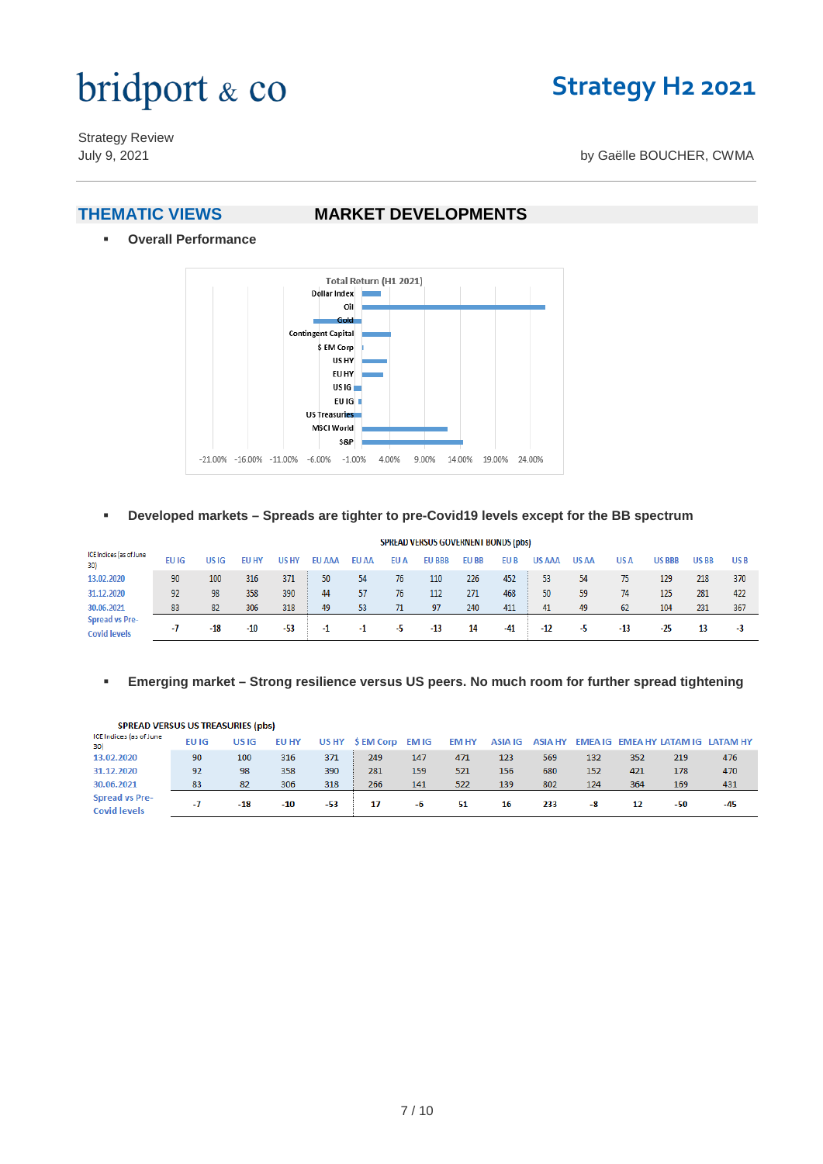### **Strategy H2 2021**

Strategy Review

#### July 9, 2021 by Gaëlle BOUCHER, CWMA

#### **THEMATIC VIEWS MARKET DEVELOPMENTS**

**Overall Performance**



**Developed markets – Spreads are tighter to pre-Covid19 levels except for the BB spectrum**

|                                              |       |       |              |       |               |              |      | SPREAD VERSUS GOVERNENT BONDS (pbs) |              |       |               |              |       |               |             |                 |
|----------------------------------------------|-------|-------|--------------|-------|---------------|--------------|------|-------------------------------------|--------------|-------|---------------|--------------|-------|---------------|-------------|-----------------|
| ICE Indices (as of June<br>30)               | EU IG | US IG | <b>EU HY</b> | US HY | <b>EU AAA</b> | <b>EU AA</b> | EU A | <b>EU BBB</b>                       | <b>EU BB</b> | EU B  | <b>US AAA</b> | <b>US AA</b> | US A  | <b>US BBB</b> | <b>USBB</b> | US <sub>B</sub> |
| 13.02.2020                                   | 90    | 100   | 316          | 371   | 50            | 54           | 76   | 110                                 | 226          | 452   | 53            | 54           | 75    | 129           | 218         | 370             |
| 31.12.2020                                   | 92    | 98    | 358          | 390   | 44            | 57           | 76   | 112                                 | 271          | 468   | 50            | 59           | 74    | 125           | 281         | 422             |
| 30.06.2021                                   | 83    | 82    | 306          | 318   | 49            | 53           | 71   | 97                                  | 240          | 411   | 41            | 49           | 62    | 104           | 231         | 367             |
| <b>Spread vs Pre-</b><br><b>Covid levels</b> | - 1   | $-18$ | $-10$        | $-53$ | -1            | -1           | -5   | $-13$                               | 14           | $-41$ | $-12$         | -5           | $-13$ | $-25$         | 13          | -3              |

#### **Emerging market – Strong resilience versus US peers. No much room for further spread tightening**

| SPREAD VERSUS US IREASURIES (DDS)            |       |       |              |       |                 |     |              |         |     |     |     |     |                                           |
|----------------------------------------------|-------|-------|--------------|-------|-----------------|-----|--------------|---------|-----|-----|-----|-----|-------------------------------------------|
| ICE Indices (as of June<br>30                | EU IG | US IG | <b>EU HY</b> | US HY | S EM Corp EM IG |     | <b>EM HY</b> | ASIA IG |     |     |     |     | ASIA HY EMEA IG EMEA HY LATAM IG LATAM HY |
| 13.02.2020                                   | 90    | 100   | 316          | 371   | 249             | 147 | 471          | 123     | 569 | 132 | 352 | 219 | 476                                       |
| 31.12.2020                                   | 92    | 98    | 358          | 390   | 281             | 159 | 521          | 156     | 680 | 152 | 421 | 178 | 470                                       |
| 30.06.2021                                   | 83    | 82    | 306          | 318   | 266             | 141 | 522          | 139     | 802 | 124 | 364 | 169 | 431                                       |
| <b>Spread vs Pre-</b><br><b>Covid levels</b> |       | $-18$ | $-10$        | -53   | 17              | -6  | 51           | 16      | 233 | -8  | 12  | -50 | -45                                       |

#### CODEAD VEDCUC UC TREACURIES (pho)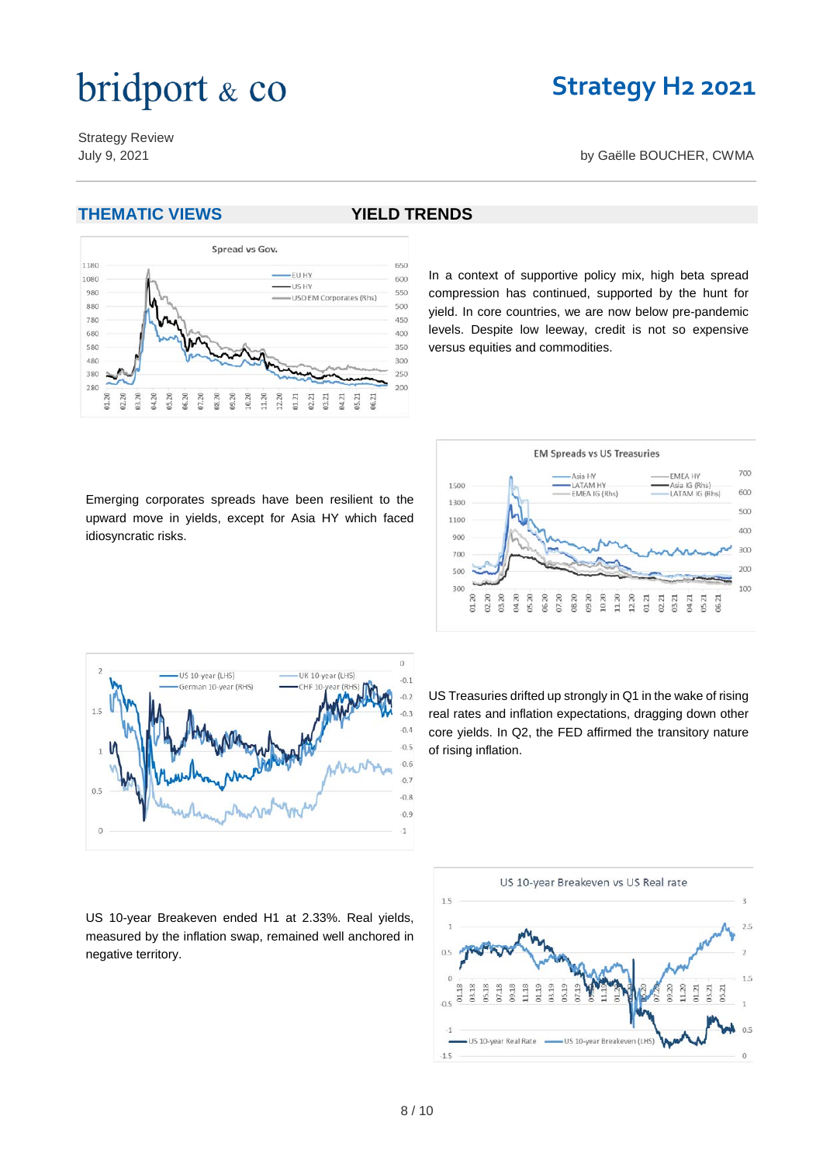### **Strategy H2 2021**

Strategy Review July 9, 2021 by Gaëlle BOUCHER, CWMA

#### **THEMATIC VIEWS YIELD TRENDS**





#### In a context of supportive policy mix, high beta spread compression has continued, supported by the hunt for yield. In core countries, we are now below pre-pandemic levels. Despite low leeway, credit is not so expensive versus equities and commodities.

Emerging corporates spreads have been resilient to the upward move in yields, except for Asia HY which faced idiosyncratic risks.





US Treasuries drifted up strongly in Q1 in the wake of rising real rates and inflation expectations, dragging down other core yields. In Q2, the FED affirmed the transitory nature of rising inflation.

US 10-year Breakeven ended H1 at 2.33%. Real yields, measured by the inflation swap, remained well anchored in negative territory.

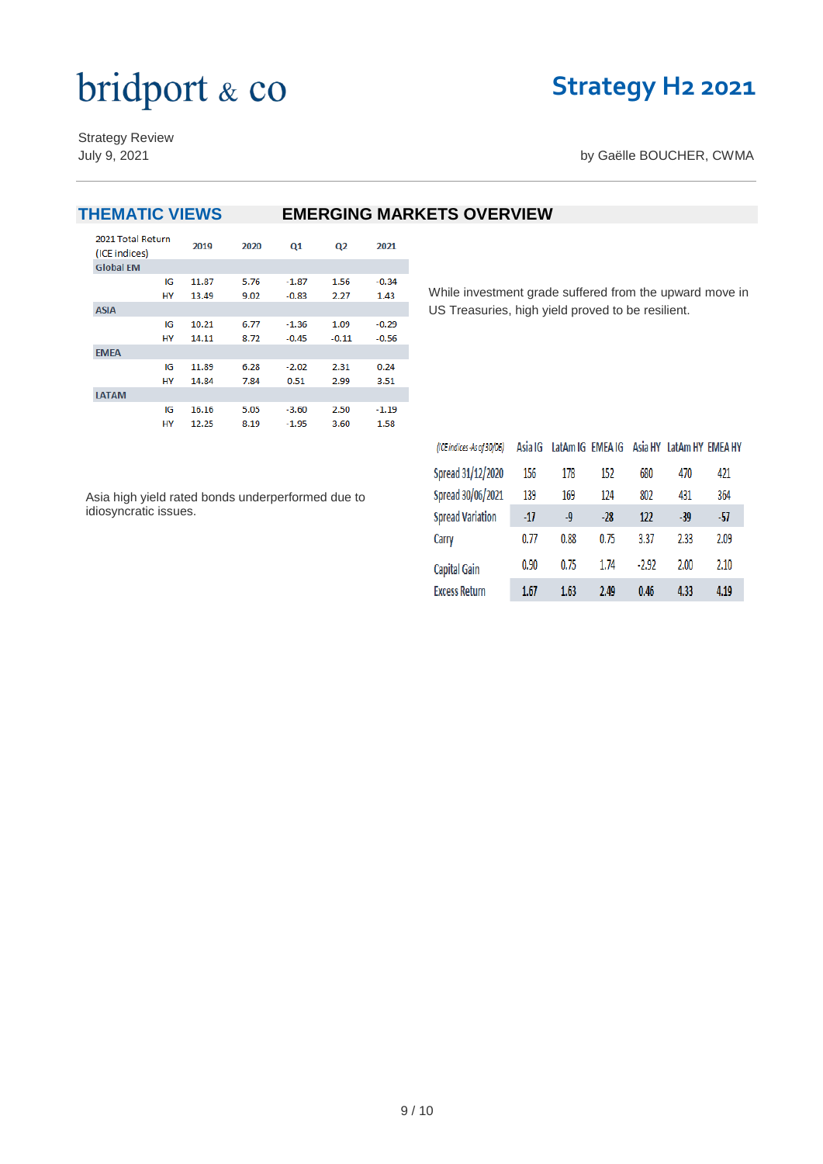## **Strategy H2 2021**

Strategy Review

July 9, 2021 **by Gaëlle BOUCHER, CWMA** 

| <b>THEMATIC VIEWS</b>              |    |       |      |         |                |         | <b>EMERGING MARKETS OVERVIEW</b> |
|------------------------------------|----|-------|------|---------|----------------|---------|----------------------------------|
| 2021 Total Return<br>(ICE indices) |    | 2019  | 2020 | Q1      | Q <sub>2</sub> | 2021    |                                  |
| <b>Global EM</b>                   |    |       |      |         |                |         |                                  |
|                                    | IG | 11.87 | 5.76 | $-1.87$ | 1.56           | $-0.34$ |                                  |
|                                    | HY | 13.49 | 9.02 | $-0.83$ | 2.27           | 1.43    | While investment grade           |
| <b>ASIA</b>                        |    |       |      |         |                |         | US Treasuries, high yie          |
|                                    | IG | 10.21 | 6.77 | $-1.36$ | 1.09           | $-0.29$ |                                  |
|                                    | HY | 14.11 | 8.72 | $-0.45$ | $-0.11$        | $-0.56$ |                                  |
| <b>EMEA</b>                        |    |       |      |         |                |         |                                  |
|                                    | IG | 11.89 | 6.28 | $-2.02$ | 2.31           | 0.24    |                                  |
|                                    | HY | 14.84 | 7.84 | 0.51    | 2.99           | 3.51    |                                  |
| <b>LATAM</b>                       |    |       |      |         |                |         |                                  |
|                                    | IG | 16.16 | 5.05 | $-3.60$ | 2.50           | $-1.19$ |                                  |
|                                    | HY | 12.25 | 8.19 | $-1.95$ | 3.60           | 1.58    |                                  |

Asia high yield rated bonds underperformed due to idiosyncratic issues.

While investment grade suffered from the upward move in US Treasuries, high yield proved to be resilient.

| (ICE indices - As of 30/06) | Asia IG | LatAm IG EMEA IG |       | Asia HY | LatAm HY EMEA HY |      |
|-----------------------------|---------|------------------|-------|---------|------------------|------|
| Spread 31/12/2020           | 156     | 178              | 152   | 680     | 470              | 421  |
| Spread 30/06/2021           | 139     | 169              | 124   | 802     | 431              | 364  |
| <b>Spread Variation</b>     | $-17$   | -9               | $-28$ | 122     | -39              | -57  |
| Carry                       | 0.77    | 0.88             | 0.75  | 3.37    | 2.33             | 2.09 |
| <b>Capital Gain</b>         | 0.90    | 0.75             | 1.74  | $-2.92$ | 2.00             | 2.10 |
| <b>Excess Return</b>        | 1.67    | 1.63             | 2.49  | 0.46    | 4.33             | 4.19 |